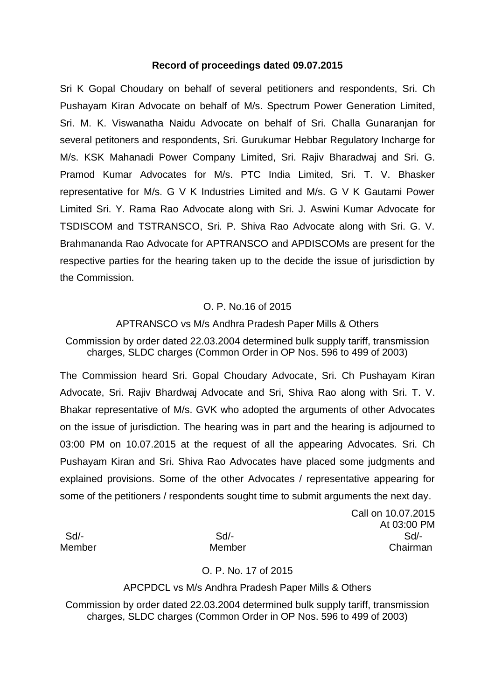### **Record of proceedings dated 09.07.2015**

Sri K Gopal Choudary on behalf of several petitioners and respondents, Sri. Ch Pushayam Kiran Advocate on behalf of M/s. Spectrum Power Generation Limited, Sri. M. K. Viswanatha Naidu Advocate on behalf of Sri. Challa Gunaranjan for several petitoners and respondents, Sri. Gurukumar Hebbar Regulatory Incharge for M/s. KSK Mahanadi Power Company Limited, Sri. Rajiv Bharadwaj and Sri. G. Pramod Kumar Advocates for M/s. PTC India Limited, Sri. T. V. Bhasker representative for M/s. G V K Industries Limited and M/s. G V K Gautami Power Limited Sri. Y. Rama Rao Advocate along with Sri. J. Aswini Kumar Advocate for TSDISCOM and TSTRANSCO, Sri. P. Shiva Rao Advocate along with Sri. G. V. Brahmananda Rao Advocate for APTRANSCO and APDISCOMs are present for the respective parties for the hearing taken up to the decide the issue of jurisdiction by the Commission.

## O. P. No.16 of 2015

## APTRANSCO vs M/s Andhra Pradesh Paper Mills & Others

Commission by order dated 22.03.2004 determined bulk supply tariff, transmission charges, SLDC charges (Common Order in OP Nos. 596 to 499 of 2003)

The Commission heard Sri. Gopal Choudary Advocate, Sri. Ch Pushayam Kiran Advocate, Sri. Rajiv Bhardwaj Advocate and Sri, Shiva Rao along with Sri. T. V. Bhakar representative of M/s. GVK who adopted the arguments of other Advocates on the issue of jurisdiction. The hearing was in part and the hearing is adjourned to 03:00 PM on 10.07.2015 at the request of all the appearing Advocates. Sri. Ch Pushayam Kiran and Sri. Shiva Rao Advocates have placed some judgments and explained provisions. Some of the other Advocates / representative appearing for some of the petitioners / respondents sought time to submit arguments the next day.

Call on 10.07.2015 At 03:00 PM Sd/- Sd/- Sd/- Member Member Chairman

## O. P. No. 17 of 2015

#### APCPDCL vs M/s Andhra Pradesh Paper Mills & Others

Commission by order dated 22.03.2004 determined bulk supply tariff, transmission charges, SLDC charges (Common Order in OP Nos. 596 to 499 of 2003)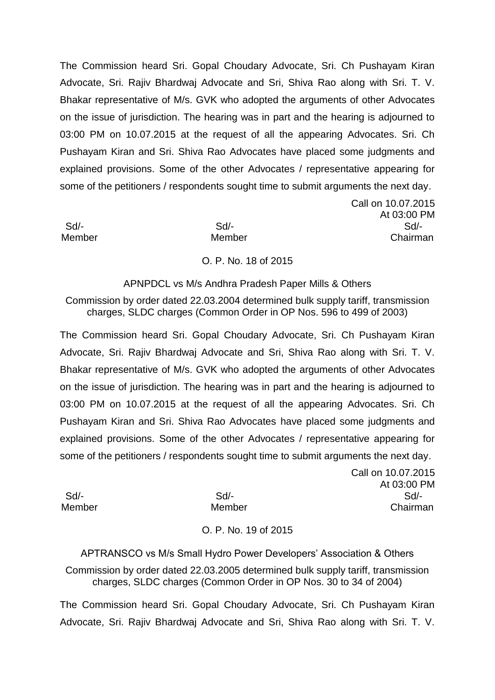The Commission heard Sri. Gopal Choudary Advocate, Sri. Ch Pushayam Kiran Advocate, Sri. Rajiv Bhardwaj Advocate and Sri, Shiva Rao along with Sri. T. V. Bhakar representative of M/s. GVK who adopted the arguments of other Advocates on the issue of jurisdiction. The hearing was in part and the hearing is adjourned to 03:00 PM on 10.07.2015 at the request of all the appearing Advocates. Sri. Ch Pushayam Kiran and Sri. Shiva Rao Advocates have placed some judgments and explained provisions. Some of the other Advocates / representative appearing for some of the petitioners / respondents sought time to submit arguments the next day.

Call on 10.07.2015 At 03:00 PM Sd/- Sd/- Sd/- Member Member Chairman

## O. P. No. 18 of 2015

APNPDCL vs M/s Andhra Pradesh Paper Mills & Others

Commission by order dated 22.03.2004 determined bulk supply tariff, transmission charges, SLDC charges (Common Order in OP Nos. 596 to 499 of 2003)

The Commission heard Sri. Gopal Choudary Advocate, Sri. Ch Pushayam Kiran Advocate, Sri. Rajiv Bhardwaj Advocate and Sri, Shiva Rao along with Sri. T. V. Bhakar representative of M/s. GVK who adopted the arguments of other Advocates on the issue of jurisdiction. The hearing was in part and the hearing is adjourned to 03:00 PM on 10.07.2015 at the request of all the appearing Advocates. Sri. Ch Pushayam Kiran and Sri. Shiva Rao Advocates have placed some judgments and explained provisions. Some of the other Advocates / representative appearing for some of the petitioners / respondents sought time to submit arguments the next day.

Call on 10.07.2015 At 03:00 PM Sd/- Sd/- Sd/- Member Member Chairman

# O. P. No. 19 of 2015

APTRANSCO vs M/s Small Hydro Power Developers' Association & Others

Commission by order dated 22.03.2005 determined bulk supply tariff, transmission charges, SLDC charges (Common Order in OP Nos. 30 to 34 of 2004)

The Commission heard Sri. Gopal Choudary Advocate, Sri. Ch Pushayam Kiran Advocate, Sri. Rajiv Bhardwaj Advocate and Sri, Shiva Rao along with Sri. T. V.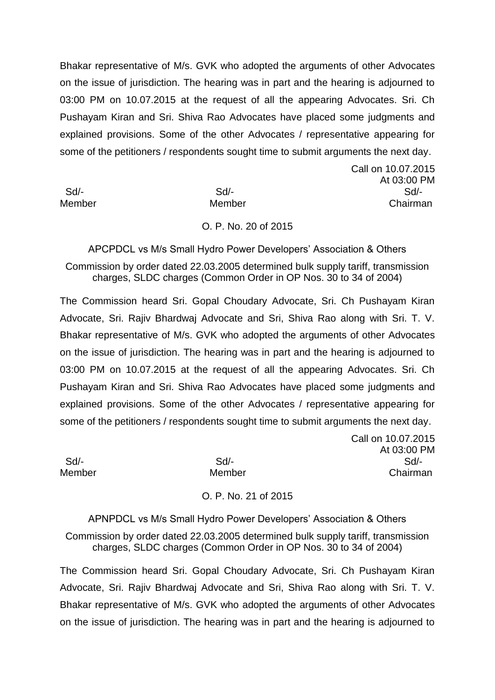Bhakar representative of M/s. GVK who adopted the arguments of other Advocates on the issue of jurisdiction. The hearing was in part and the hearing is adjourned to 03:00 PM on 10.07.2015 at the request of all the appearing Advocates. Sri. Ch Pushayam Kiran and Sri. Shiva Rao Advocates have placed some judgments and explained provisions. Some of the other Advocates / representative appearing for some of the petitioners / respondents sought time to submit arguments the next day.

Call on 10.07.2015 At 03:00 PM Sd/- Sd/- Sd/- Member Member Chairman

#### O. P. No. 20 of 2015

APCPDCL vs M/s Small Hydro Power Developers' Association & Others Commission by order dated 22.03.2005 determined bulk supply tariff, transmission charges, SLDC charges (Common Order in OP Nos. 30 to 34 of 2004)

The Commission heard Sri. Gopal Choudary Advocate, Sri. Ch Pushayam Kiran Advocate, Sri. Rajiv Bhardwaj Advocate and Sri, Shiva Rao along with Sri. T. V. Bhakar representative of M/s. GVK who adopted the arguments of other Advocates on the issue of jurisdiction. The hearing was in part and the hearing is adjourned to 03:00 PM on 10.07.2015 at the request of all the appearing Advocates. Sri. Ch Pushayam Kiran and Sri. Shiva Rao Advocates have placed some judgments and explained provisions. Some of the other Advocates / representative appearing for some of the petitioners / respondents sought time to submit arguments the next day.

Call on 10.07.2015 At 03:00 PM Sd/- Sd/- Sd/- Member Member Chairman

# O. P. No. 21 of 2015

APNPDCL vs M/s Small Hydro Power Developers' Association & Others Commission by order dated 22.03.2005 determined bulk supply tariff, transmission charges, SLDC charges (Common Order in OP Nos. 30 to 34 of 2004)

The Commission heard Sri. Gopal Choudary Advocate, Sri. Ch Pushayam Kiran Advocate, Sri. Rajiv Bhardwaj Advocate and Sri, Shiva Rao along with Sri. T. V. Bhakar representative of M/s. GVK who adopted the arguments of other Advocates on the issue of jurisdiction. The hearing was in part and the hearing is adjourned to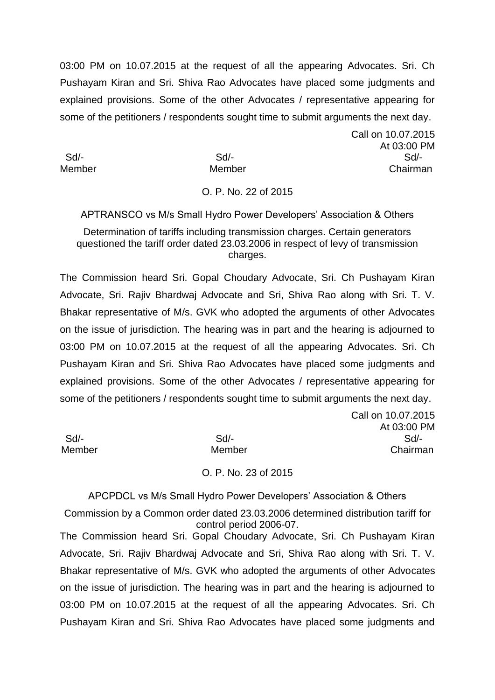03:00 PM on 10.07.2015 at the request of all the appearing Advocates. Sri. Ch Pushayam Kiran and Sri. Shiva Rao Advocates have placed some judgments and explained provisions. Some of the other Advocates / representative appearing for some of the petitioners / respondents sought time to submit arguments the next day.

Call on 10.07.2015

Call on 10.07.2015

At 03:00 PM

Sd/- Sd/- Sd/-

Member Member Chairman

## O. P. No. 22 of 2015

APTRANSCO vs M/s Small Hydro Power Developers' Association & Others Determination of tariffs including transmission charges. Certain generators questioned the tariff order dated 23.03.2006 in respect of levy of transmission charges.

The Commission heard Sri. Gopal Choudary Advocate, Sri. Ch Pushayam Kiran Advocate, Sri. Rajiv Bhardwaj Advocate and Sri, Shiva Rao along with Sri. T. V. Bhakar representative of M/s. GVK who adopted the arguments of other Advocates on the issue of jurisdiction. The hearing was in part and the hearing is adjourned to 03:00 PM on 10.07.2015 at the request of all the appearing Advocates. Sri. Ch Pushayam Kiran and Sri. Shiva Rao Advocates have placed some judgments and explained provisions. Some of the other Advocates / representative appearing for some of the petitioners / respondents sought time to submit arguments the next day.

|        |        | At 03:00 PM |
|--------|--------|-------------|
| Sd/-   | Sd     | Sd          |
| Member | Member | Chairman    |
|        |        |             |

### O. P. No. 23 of 2015

APCPDCL vs M/s Small Hydro Power Developers' Association & Others Commission by a Common order dated 23.03.2006 determined distribution tariff for control period 2006-07. The Commission heard Sri. Gopal Choudary Advocate, Sri. Ch Pushayam Kiran Advocate, Sri. Rajiv Bhardwaj Advocate and Sri, Shiva Rao along with Sri. T. V. Bhakar representative of M/s. GVK who adopted the arguments of other Advocates on the issue of jurisdiction. The hearing was in part and the hearing is adjourned to 03:00 PM on 10.07.2015 at the request of all the appearing Advocates. Sri. Ch Pushayam Kiran and Sri. Shiva Rao Advocates have placed some judgments and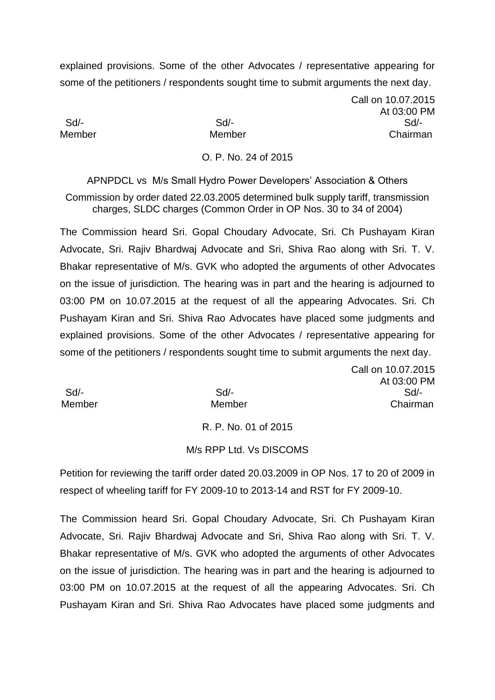Call on 10.07.2015 At 03:00 PM Sd/- Sd/- Sd/- Member Member Chairman

#### O. P. No. 24 of 2015

APNPDCL vs M/s Small Hydro Power Developers' Association & Others Commission by order dated 22.03.2005 determined bulk supply tariff, transmission charges, SLDC charges (Common Order in OP Nos. 30 to 34 of 2004)

The Commission heard Sri. Gopal Choudary Advocate, Sri. Ch Pushayam Kiran Advocate, Sri. Rajiv Bhardwaj Advocate and Sri, Shiva Rao along with Sri. T. V. Bhakar representative of M/s. GVK who adopted the arguments of other Advocates on the issue of jurisdiction. The hearing was in part and the hearing is adjourned to 03:00 PM on 10.07.2015 at the request of all the appearing Advocates. Sri. Ch Pushayam Kiran and Sri. Shiva Rao Advocates have placed some judgments and explained provisions. Some of the other Advocates / representative appearing for some of the petitioners / respondents sought time to submit arguments the next day.

|        | Call on 10.07.2015 |
|--------|--------------------|
|        | At 03:00 PM        |
| $Sd/-$ | Sd                 |
| Member | Chairman           |
|        |                    |

R. P. No. 01 of 2015

#### M/s RPP Ltd. Vs DISCOMS

Petition for reviewing the tariff order dated 20.03.2009 in OP Nos. 17 to 20 of 2009 in respect of wheeling tariff for FY 2009-10 to 2013-14 and RST for FY 2009-10.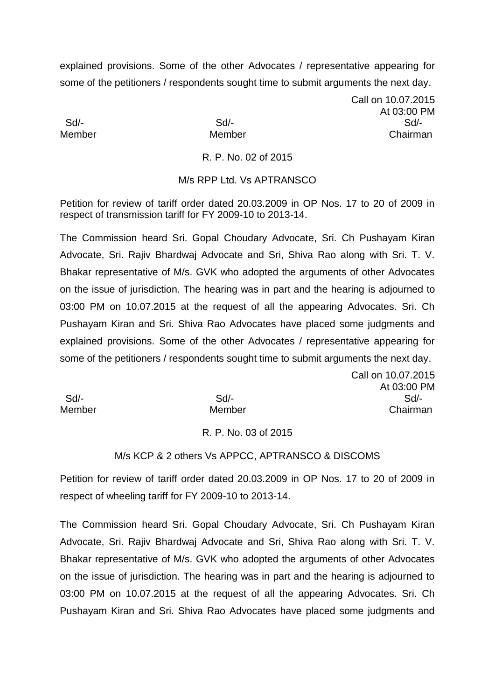Call on 10.07.2015 At 03:00 PM Sd/- Sd/- Sd/- Member Member Chairman

Call on 10.07.2015

## R. P. No. 02 of 2015

## M/s RPP Ltd. Vs APTRANSCO

Petition for review of tariff order dated 20.03.2009 in OP Nos. 17 to 20 of 2009 in respect of transmission tariff for FY 2009-10 to 2013-14.

The Commission heard Sri. Gopal Choudary Advocate, Sri. Ch Pushayam Kiran Advocate, Sri. Rajiv Bhardwaj Advocate and Sri, Shiva Rao along with Sri. T. V. Bhakar representative of M/s. GVK who adopted the arguments of other Advocates on the issue of jurisdiction. The hearing was in part and the hearing is adjourned to 03:00 PM on 10.07.2015 at the request of all the appearing Advocates. Sri. Ch Pushayam Kiran and Sri. Shiva Rao Advocates have placed some judgments and explained provisions. Some of the other Advocates / representative appearing for some of the petitioners / respondents sought time to submit arguments the next day.

|        |        | At 03:00 PM |
|--------|--------|-------------|
| Sd/-   | $Sd$ - | Sd          |
| Member | Member | Chairman    |

#### R. P. No. 03 of 2015

#### M/s KCP & 2 others Vs APPCC, APTRANSCO & DISCOMS

Petition for review of tariff order dated 20.03.2009 in OP Nos. 17 to 20 of 2009 in respect of wheeling tariff for FY 2009-10 to 2013-14.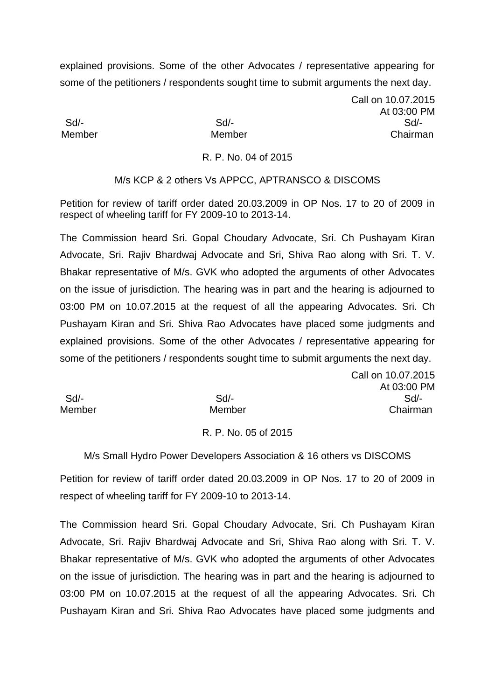Call on 10.07.2015 At 03:00 PM Sd/- Sd/- Sd/- Member Member Chairman

Call on 10.07.2015

### R. P. No. 04 of 2015

## M/s KCP & 2 others Vs APPCC, APTRANSCO & DISCOMS

Petition for review of tariff order dated 20.03.2009 in OP Nos. 17 to 20 of 2009 in respect of wheeling tariff for FY 2009-10 to 2013-14.

The Commission heard Sri. Gopal Choudary Advocate, Sri. Ch Pushayam Kiran Advocate, Sri. Rajiv Bhardwaj Advocate and Sri, Shiva Rao along with Sri. T. V. Bhakar representative of M/s. GVK who adopted the arguments of other Advocates on the issue of jurisdiction. The hearing was in part and the hearing is adjourned to 03:00 PM on 10.07.2015 at the request of all the appearing Advocates. Sri. Ch Pushayam Kiran and Sri. Shiva Rao Advocates have placed some judgments and explained provisions. Some of the other Advocates / representative appearing for some of the petitioners / respondents sought time to submit arguments the next day.

|        |        | At 03:00 PM |
|--------|--------|-------------|
| Sd/-   | $Sd$ - | Sd          |
| Member | Member | Chairman    |

#### R. P. No. 05 of 2015

M/s Small Hydro Power Developers Association & 16 others vs DISCOMS

Petition for review of tariff order dated 20.03.2009 in OP Nos. 17 to 20 of 2009 in respect of wheeling tariff for FY 2009-10 to 2013-14.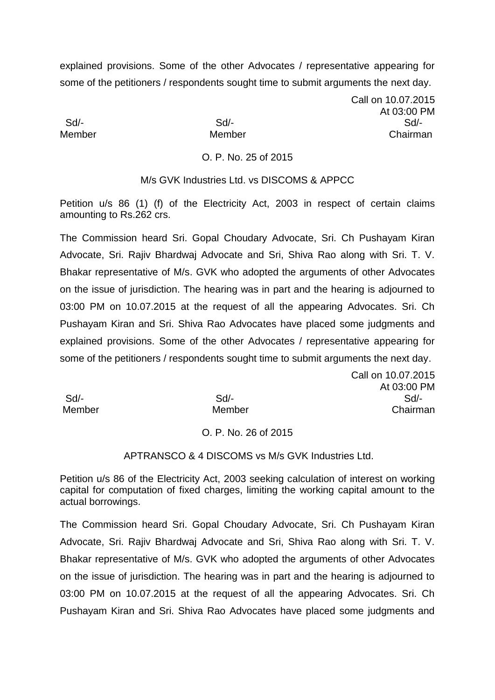Call on 10.07.2015 At 03:00 PM Sd/- Sd/- Sd/- Member Member Chairman

## O. P. No. 25 of 2015

M/s GVK Industries Ltd. vs DISCOMS & APPCC

Petition u/s 86 (1) (f) of the Electricity Act, 2003 in respect of certain claims amounting to Rs.262 crs.

The Commission heard Sri. Gopal Choudary Advocate, Sri. Ch Pushayam Kiran Advocate, Sri. Rajiv Bhardwaj Advocate and Sri, Shiva Rao along with Sri. T. V. Bhakar representative of M/s. GVK who adopted the arguments of other Advocates on the issue of jurisdiction. The hearing was in part and the hearing is adjourned to 03:00 PM on 10.07.2015 at the request of all the appearing Advocates. Sri. Ch Pushayam Kiran and Sri. Shiva Rao Advocates have placed some judgments and explained provisions. Some of the other Advocates / representative appearing for some of the petitioners / respondents sought time to submit arguments the next day.

Call on 10.07.2015 At 03:00 PM Sd/- Sd/- Sd/- Member Member Chairman

## O. P. No. 26 of 2015

## APTRANSCO & 4 DISCOMS vs M/s GVK Industries Ltd.

Petition u/s 86 of the Electricity Act, 2003 seeking calculation of interest on working capital for computation of fixed charges, limiting the working capital amount to the actual borrowings.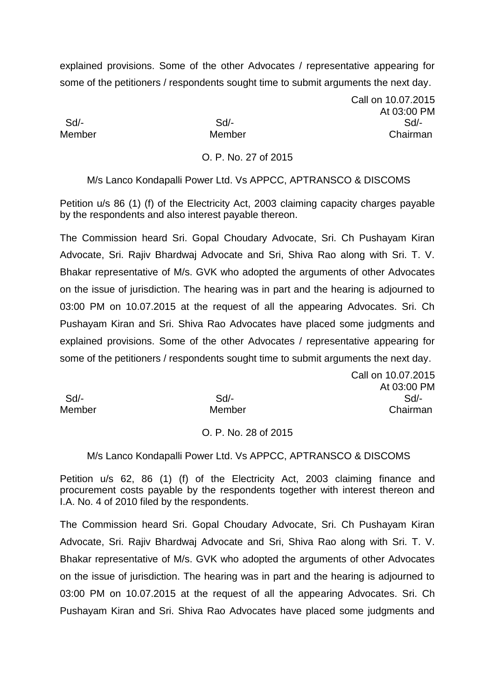Call on 10.07.2015 At 03:00 PM Sd/- Sd/- Sd/- Member Member Chairman

## O. P. No. 27 of 2015

M/s Lanco Kondapalli Power Ltd. Vs APPCC, APTRANSCO & DISCOMS

Petition u/s 86 (1) (f) of the Electricity Act, 2003 claiming capacity charges payable by the respondents and also interest payable thereon.

The Commission heard Sri. Gopal Choudary Advocate, Sri. Ch Pushayam Kiran Advocate, Sri. Rajiv Bhardwaj Advocate and Sri, Shiva Rao along with Sri. T. V. Bhakar representative of M/s. GVK who adopted the arguments of other Advocates on the issue of jurisdiction. The hearing was in part and the hearing is adjourned to 03:00 PM on 10.07.2015 at the request of all the appearing Advocates. Sri. Ch Pushayam Kiran and Sri. Shiva Rao Advocates have placed some judgments and explained provisions. Some of the other Advocates / representative appearing for some of the petitioners / respondents sought time to submit arguments the next day.

Call on 10.07.2015 At 03:00 PM Sd/- Sd/- Sd/- Member Member Chairman

## O. P. No. 28 of 2015

#### M/s Lanco Kondapalli Power Ltd. Vs APPCC, APTRANSCO & DISCOMS

Petition u/s 62, 86 (1) (f) of the Electricity Act, 2003 claiming finance and procurement costs payable by the respondents together with interest thereon and I.A. No. 4 of 2010 filed by the respondents.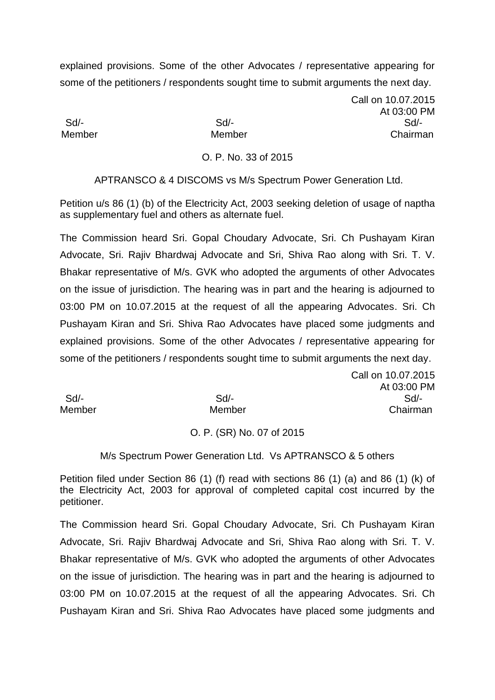Call on 10.07.2015 At 03:00 PM Sd/- Sd/- Sd/- Member Member Chairman

## O. P. No. 33 of 2015

APTRANSCO & 4 DISCOMS vs M/s Spectrum Power Generation Ltd.

Petition u/s 86 (1) (b) of the Electricity Act, 2003 seeking deletion of usage of naptha as supplementary fuel and others as alternate fuel.

The Commission heard Sri. Gopal Choudary Advocate, Sri. Ch Pushayam Kiran Advocate, Sri. Rajiv Bhardwaj Advocate and Sri, Shiva Rao along with Sri. T. V. Bhakar representative of M/s. GVK who adopted the arguments of other Advocates on the issue of jurisdiction. The hearing was in part and the hearing is adjourned to 03:00 PM on 10.07.2015 at the request of all the appearing Advocates. Sri. Ch Pushayam Kiran and Sri. Shiva Rao Advocates have placed some judgments and explained provisions. Some of the other Advocates / representative appearing for some of the petitioners / respondents sought time to submit arguments the next day.

Call on 10.07.2015 At 03:00 PM Sd/- Sd/- Sd/- Member Member Chairman

## O. P. (SR) No. 07 of 2015

### M/s Spectrum Power Generation Ltd. Vs APTRANSCO & 5 others

Petition filed under Section 86 (1) (f) read with sections 86 (1) (a) and 86 (1) (k) of the Electricity Act, 2003 for approval of completed capital cost incurred by the petitioner.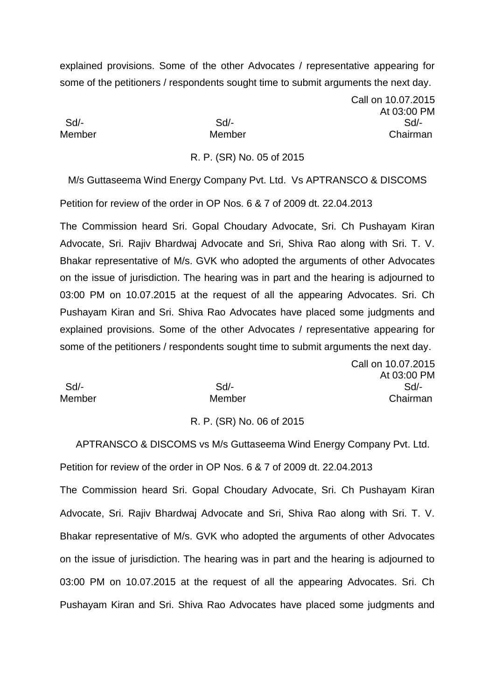Call on 10.07.2015 At 03:00 PM Sd/- Sd/- Sd/- Member Member Chairman

#### R. P. (SR) No. 05 of 2015

M/s Guttaseema Wind Energy Company Pvt. Ltd. Vs APTRANSCO & DISCOMS Petition for review of the order in OP Nos. 6 & 7 of 2009 dt. 22.04.2013

The Commission heard Sri. Gopal Choudary Advocate, Sri. Ch Pushayam Kiran Advocate, Sri. Rajiv Bhardwaj Advocate and Sri, Shiva Rao along with Sri. T. V. Bhakar representative of M/s. GVK who adopted the arguments of other Advocates on the issue of jurisdiction. The hearing was in part and the hearing is adjourned to 03:00 PM on 10.07.2015 at the request of all the appearing Advocates. Sri. Ch Pushayam Kiran and Sri. Shiva Rao Advocates have placed some judgments and explained provisions. Some of the other Advocates / representative appearing for some of the petitioners / respondents sought time to submit arguments the next day.  $\sqrt{2}$ 

|        | Call on 10.07.2015 |
|--------|--------------------|
|        | At 03:00 PM        |
| Sd     | $Sd$ -             |
| Member | Chairman           |
|        |                    |

#### R. P. (SR) No. 06 of 2015

 APTRANSCO & DISCOMS vs M/s Guttaseema Wind Energy Company Pvt. Ltd. Petition for review of the order in OP Nos. 6 & 7 of 2009 dt. 22.04.2013 The Commission heard Sri. Gopal Choudary Advocate, Sri. Ch Pushayam Kiran Advocate, Sri. Rajiv Bhardwaj Advocate and Sri, Shiva Rao along with Sri. T. V. Bhakar representative of M/s. GVK who adopted the arguments of other Advocates on the issue of jurisdiction. The hearing was in part and the hearing is adjourned to 03:00 PM on 10.07.2015 at the request of all the appearing Advocates. Sri. Ch

Pushayam Kiran and Sri. Shiva Rao Advocates have placed some judgments and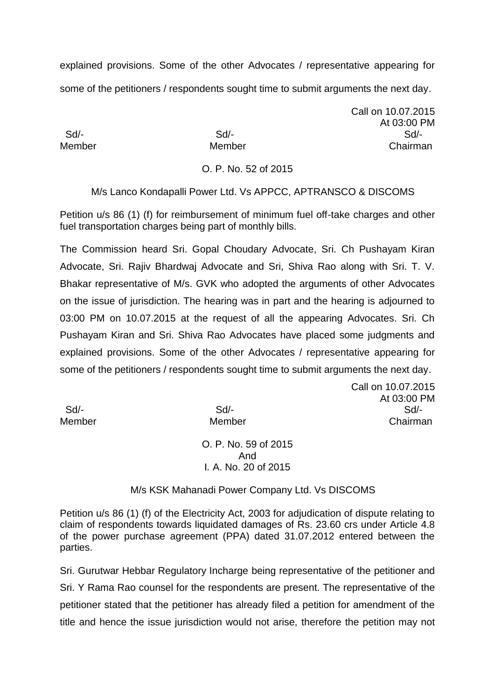Call on 10.07.2015 At 03:00 PM Sd/- Sd/- Sd/- Member Member Chairman

# O. P. No. 52 of 2015

M/s Lanco Kondapalli Power Ltd. Vs APPCC, APTRANSCO & DISCOMS

Petition u/s 86 (1) (f) for reimbursement of minimum fuel off-take charges and other fuel transportation charges being part of monthly bills.

The Commission heard Sri. Gopal Choudary Advocate, Sri. Ch Pushayam Kiran Advocate, Sri. Rajiv Bhardwaj Advocate and Sri, Shiva Rao along with Sri. T. V. Bhakar representative of M/s. GVK who adopted the arguments of other Advocates on the issue of jurisdiction. The hearing was in part and the hearing is adjourned to 03:00 PM on 10.07.2015 at the request of all the appearing Advocates. Sri. Ch Pushayam Kiran and Sri. Shiva Rao Advocates have placed some judgments and explained provisions. Some of the other Advocates / representative appearing for some of the petitioners / respondents sought time to submit arguments the next day.

Call on 10.07.2015 At 03:00 PM Sd/- Sd/- Sd/- Member Member Chairman

O. P. No. 59 of 2015 And I*.* A. No. 20 of 2015

M/s KSK Mahanadi Power Company Ltd. Vs DISCOMS

Petition u/s 86 (1) (f) of the Electricity Act, 2003 for adjudication of dispute relating to claim of respondents towards liquidated damages of Rs. 23.60 crs under Article 4.8 of the power purchase agreement (PPA) dated 31.07.2012 entered between the parties.

Sri. Gurutwar Hebbar Regulatory Incharge being representative of the petitioner and Sri. Y Rama Rao counsel for the respondents are present. The representative of the petitioner stated that the petitioner has already filed a petition for amendment of the title and hence the issue jurisdiction would not arise, therefore the petition may not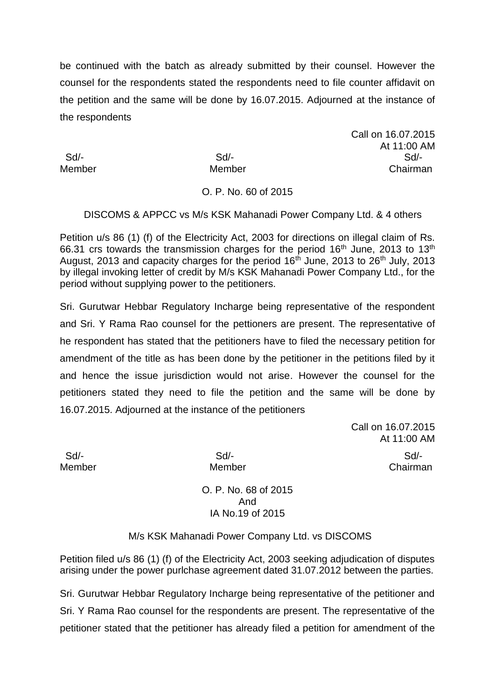be continued with the batch as already submitted by their counsel. However the counsel for the respondents stated the respondents need to file counter affidavit on the petition and the same will be done by 16.07.2015. Adjourned at the instance of the respondents

Call on 16.07.2015 At 11:00 AM Sd/- Sd/- Sd/- Member Member Chairman

# O. P. No. 60 of 2015

DISCOMS & APPCC vs M/s KSK Mahanadi Power Company Ltd. & 4 others

Petition u/s 86 (1) (f) of the Electricity Act, 2003 for directions on illegal claim of Rs. 66.31 crs towards the transmission charges for the period  $16<sup>th</sup>$  June, 2013 to  $13<sup>th</sup>$ August, 2013 and capacity charges for the period  $16<sup>th</sup>$  June, 2013 to 26<sup>th</sup> July, 2013 by illegal invoking letter of credit by M/s KSK Mahanadi Power Company Ltd., for the period without supplying power to the petitioners.

Sri. Gurutwar Hebbar Regulatory Incharge being representative of the respondent and Sri. Y Rama Rao counsel for the pettioners are present. The representative of he respondent has stated that the petitioners have to filed the necessary petition for amendment of the title as has been done by the petitioner in the petitions filed by it and hence the issue jurisdiction would not arise. However the counsel for the petitioners stated they need to file the petition and the same will be done by 16.07.2015. Adjourned at the instance of the petitioners

> Call on 16.07.2015 At 11:00 AM

 Sd/- Sd/- Sd/- Member Member Chairman

> O. P. No. 68 of 2015 And IA No.19 of 2015

M/s KSK Mahanadi Power Company Ltd. vs DISCOMS

Petition filed u/s 86 (1) (f) of the Electricity Act, 2003 seeking adjudication of disputes arising under the power purlchase agreement dated 31.07.2012 between the parties.

Sri. Gurutwar Hebbar Regulatory Incharge being representative of the petitioner and Sri. Y Rama Rao counsel for the respondents are present. The representative of the petitioner stated that the petitioner has already filed a petition for amendment of the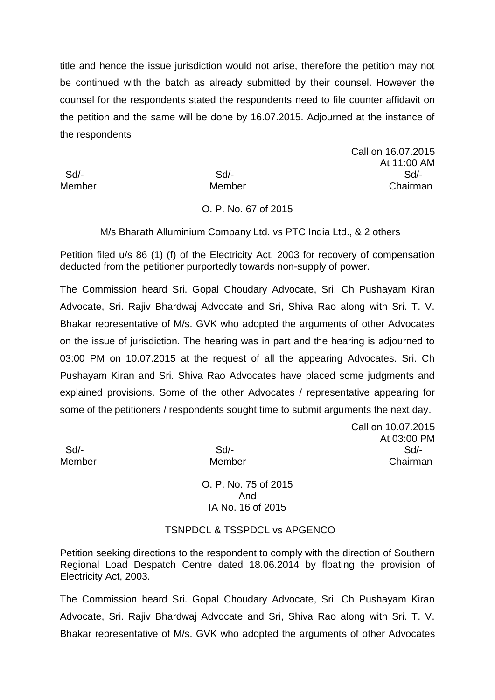title and hence the issue jurisdiction would not arise, therefore the petition may not be continued with the batch as already submitted by their counsel. However the counsel for the respondents stated the respondents need to file counter affidavit on the petition and the same will be done by 16.07.2015. Adjourned at the instance of the respondents

Call on 16.07.2015 At 11:00 AM Sd/- Sd/- Sd/- Member Member Chairman

## O. P. No. 67 of 2015

M/s Bharath Alluminium Company Ltd. vs PTC India Ltd., & 2 others

Petition filed u/s 86 (1) (f) of the Electricity Act, 2003 for recovery of compensation deducted from the petitioner purportedly towards non-supply of power.

The Commission heard Sri. Gopal Choudary Advocate, Sri. Ch Pushayam Kiran Advocate, Sri. Rajiv Bhardwaj Advocate and Sri, Shiva Rao along with Sri. T. V. Bhakar representative of M/s. GVK who adopted the arguments of other Advocates on the issue of jurisdiction. The hearing was in part and the hearing is adjourned to 03:00 PM on 10.07.2015 at the request of all the appearing Advocates. Sri. Ch Pushayam Kiran and Sri. Shiva Rao Advocates have placed some judgments and explained provisions. Some of the other Advocates / representative appearing for some of the petitioners / respondents sought time to submit arguments the next day.

Call on 10.07.2015 At 03:00 PM Sd/- Sd/- Sd/- Member Member Chairman

> O. P. No. 75 of 2015 And IA No. 16 of 2015

## TSNPDCL & TSSPDCL vs APGENCO

Petition seeking directions to the respondent to comply with the direction of Southern Regional Load Despatch Centre dated 18.06.2014 by floating the provision of Electricity Act, 2003.

The Commission heard Sri. Gopal Choudary Advocate, Sri. Ch Pushayam Kiran Advocate, Sri. Rajiv Bhardwaj Advocate and Sri, Shiva Rao along with Sri. T. V. Bhakar representative of M/s. GVK who adopted the arguments of other Advocates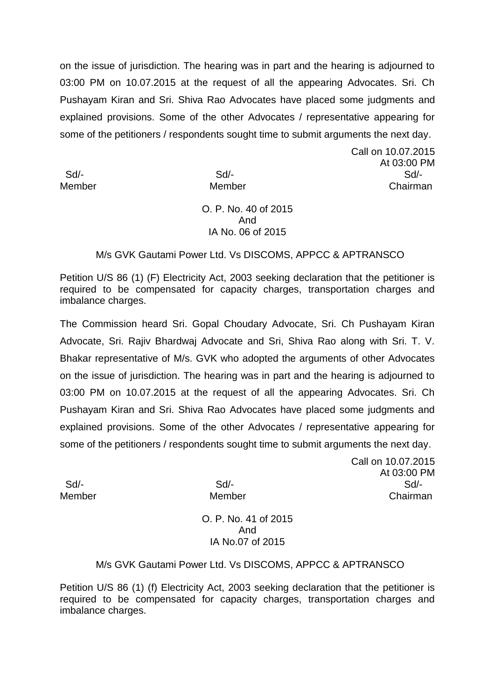on the issue of jurisdiction. The hearing was in part and the hearing is adjourned to 03:00 PM on 10.07.2015 at the request of all the appearing Advocates. Sri. Ch Pushayam Kiran and Sri. Shiva Rao Advocates have placed some judgments and explained provisions. Some of the other Advocates / representative appearing for some of the petitioners / respondents sought time to submit arguments the next day.

Call on 10.07.2015 At 03:00 PM Sd/- Sd/- Sd/- Member Member Chairman

# O. P. No. 40 of 2015 And IA No. 06 of 2015

# M/s GVK Gautami Power Ltd. Vs DISCOMS, APPCC & APTRANSCO

Petition U/S 86 (1) (F) Electricity Act, 2003 seeking declaration that the petitioner is required to be compensated for capacity charges, transportation charges and imbalance charges.

The Commission heard Sri. Gopal Choudary Advocate, Sri. Ch Pushayam Kiran Advocate, Sri. Rajiv Bhardwaj Advocate and Sri, Shiva Rao along with Sri. T. V. Bhakar representative of M/s. GVK who adopted the arguments of other Advocates on the issue of jurisdiction. The hearing was in part and the hearing is adjourned to 03:00 PM on 10.07.2015 at the request of all the appearing Advocates. Sri. Ch Pushayam Kiran and Sri. Shiva Rao Advocates have placed some judgments and explained provisions. Some of the other Advocates / representative appearing for some of the petitioners / respondents sought time to submit arguments the next day.

Call on 10.07.2015 At 03:00 PM Sd/- Sd/- Sd/- Member Member Chairman

> O. P. No. 41 of 2015 And IA No.07 of 2015

## M/s GVK Gautami Power Ltd. Vs DISCOMS, APPCC & APTRANSCO

Petition U/S 86 (1) (f) Electricity Act, 2003 seeking declaration that the petitioner is required to be compensated for capacity charges, transportation charges and imbalance charges.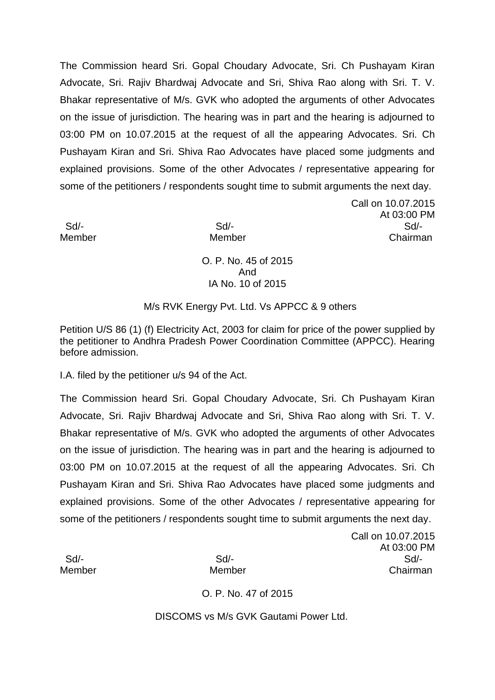The Commission heard Sri. Gopal Choudary Advocate, Sri. Ch Pushayam Kiran Advocate, Sri. Rajiv Bhardwaj Advocate and Sri, Shiva Rao along with Sri. T. V. Bhakar representative of M/s. GVK who adopted the arguments of other Advocates on the issue of jurisdiction. The hearing was in part and the hearing is adjourned to 03:00 PM on 10.07.2015 at the request of all the appearing Advocates. Sri. Ch Pushayam Kiran and Sri. Shiva Rao Advocates have placed some judgments and explained provisions. Some of the other Advocates / representative appearing for some of the petitioners / respondents sought time to submit arguments the next day.

Call on 10.07.2015 At 03:00 PM Sd/- Sd/- Sd/- Member Member Chairman

> O. P. No. 45 of 2015 And IA No. 10 of 2015

M/s RVK Energy Pvt. Ltd. Vs APPCC & 9 others

Petition U/S 86 (1) (f) Electricity Act, 2003 for claim for price of the power supplied by the petitioner to Andhra Pradesh Power Coordination Committee (APPCC). Hearing before admission.

I.A. filed by the petitioner u/s 94 of the Act.

The Commission heard Sri. Gopal Choudary Advocate, Sri. Ch Pushayam Kiran Advocate, Sri. Rajiv Bhardwaj Advocate and Sri, Shiva Rao along with Sri. T. V. Bhakar representative of M/s. GVK who adopted the arguments of other Advocates on the issue of jurisdiction. The hearing was in part and the hearing is adjourned to 03:00 PM on 10.07.2015 at the request of all the appearing Advocates. Sri. Ch Pushayam Kiran and Sri. Shiva Rao Advocates have placed some judgments and explained provisions. Some of the other Advocates / representative appearing for some of the petitioners / respondents sought time to submit arguments the next day.

Call on 10.07.2015 At 03:00 PM Sd/- Sd/- Sd/- Member Member Chairman

O. P. No. 47 of 2015

DISCOMS vs M/s GVK Gautami Power Ltd.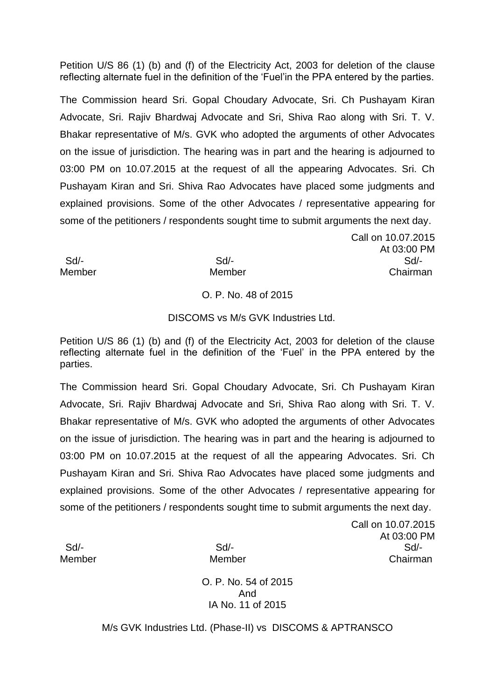Petition U/S 86 (1) (b) and (f) of the Electricity Act, 2003 for deletion of the clause reflecting alternate fuel in the definition of the 'Fuel'in the PPA entered by the parties.

The Commission heard Sri. Gopal Choudary Advocate, Sri. Ch Pushayam Kiran Advocate, Sri. Rajiv Bhardwaj Advocate and Sri, Shiva Rao along with Sri. T. V. Bhakar representative of M/s. GVK who adopted the arguments of other Advocates on the issue of jurisdiction. The hearing was in part and the hearing is adjourned to 03:00 PM on 10.07.2015 at the request of all the appearing Advocates. Sri. Ch Pushayam Kiran and Sri. Shiva Rao Advocates have placed some judgments and explained provisions. Some of the other Advocates / representative appearing for some of the petitioners / respondents sought time to submit arguments the next day.

Call on 10.07.2015 At 03:00 PM Sd/- Sd/- Sd/- Member Member Chairman

# O. P. No. 48 of 2015

## DISCOMS vs M/s GVK Industries Ltd.

Petition U/S 86 (1) (b) and (f) of the Electricity Act, 2003 for deletion of the clause reflecting alternate fuel in the definition of the 'Fuel' in the PPA entered by the parties.

The Commission heard Sri. Gopal Choudary Advocate, Sri. Ch Pushayam Kiran Advocate, Sri. Rajiv Bhardwaj Advocate and Sri, Shiva Rao along with Sri. T. V. Bhakar representative of M/s. GVK who adopted the arguments of other Advocates on the issue of jurisdiction. The hearing was in part and the hearing is adjourned to 03:00 PM on 10.07.2015 at the request of all the appearing Advocates. Sri. Ch Pushayam Kiran and Sri. Shiva Rao Advocates have placed some judgments and explained provisions. Some of the other Advocates / representative appearing for some of the petitioners / respondents sought time to submit arguments the next day.

Call on 10.07.2015 At 03:00 PM Sd/- Sd/- Sd/- Member Member Chairman

O. P. No. 54 of 2015 And IA No. 11 of 2015

M/s GVK Industries Ltd. (Phase-II) vs DISCOMS & APTRANSCO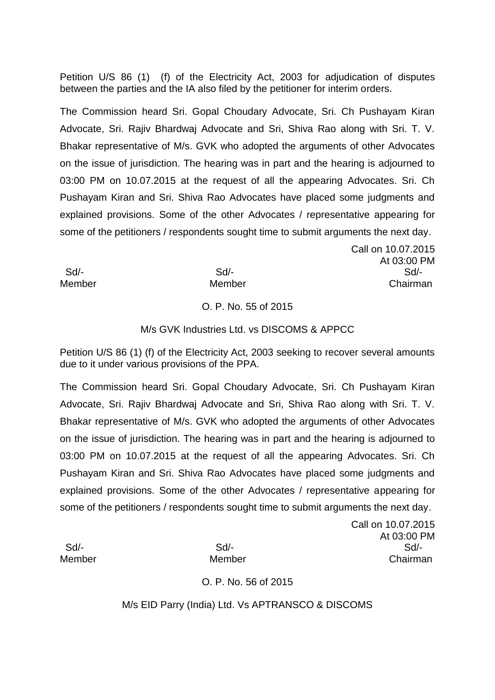Petition U/S 86 (1) (f) of the Electricity Act, 2003 for adjudication of disputes between the parties and the IA also filed by the petitioner for interim orders.

The Commission heard Sri. Gopal Choudary Advocate, Sri. Ch Pushayam Kiran Advocate, Sri. Rajiv Bhardwaj Advocate and Sri, Shiva Rao along with Sri. T. V. Bhakar representative of M/s. GVK who adopted the arguments of other Advocates on the issue of jurisdiction. The hearing was in part and the hearing is adjourned to 03:00 PM on 10.07.2015 at the request of all the appearing Advocates. Sri. Ch Pushayam Kiran and Sri. Shiva Rao Advocates have placed some judgments and explained provisions. Some of the other Advocates / representative appearing for some of the petitioners / respondents sought time to submit arguments the next day.

 Sd/- Sd/- Sd/- Member Member Chairman

## O. P. No. 55 of 2015

#### M/s GVK Industries Ltd. vs DISCOMS & APPCC

Petition U/S 86 (1) (f) of the Electricity Act, 2003 seeking to recover several amounts due to it under various provisions of the PPA.

The Commission heard Sri. Gopal Choudary Advocate, Sri. Ch Pushayam Kiran Advocate, Sri. Rajiv Bhardwaj Advocate and Sri, Shiva Rao along with Sri. T. V. Bhakar representative of M/s. GVK who adopted the arguments of other Advocates on the issue of jurisdiction. The hearing was in part and the hearing is adjourned to 03:00 PM on 10.07.2015 at the request of all the appearing Advocates. Sri. Ch Pushayam Kiran and Sri. Shiva Rao Advocates have placed some judgments and explained provisions. Some of the other Advocates / representative appearing for some of the petitioners / respondents sought time to submit arguments the next day.

Call on 10.07.2015 At 03:00 PM Sd/- Sd/- Sd/- Member Member Chairman

Call on 10.07.2015

At 03:00 PM

## O. P. No. 56 of 2015

M/s EID Parry (India) Ltd. Vs APTRANSCO & DISCOMS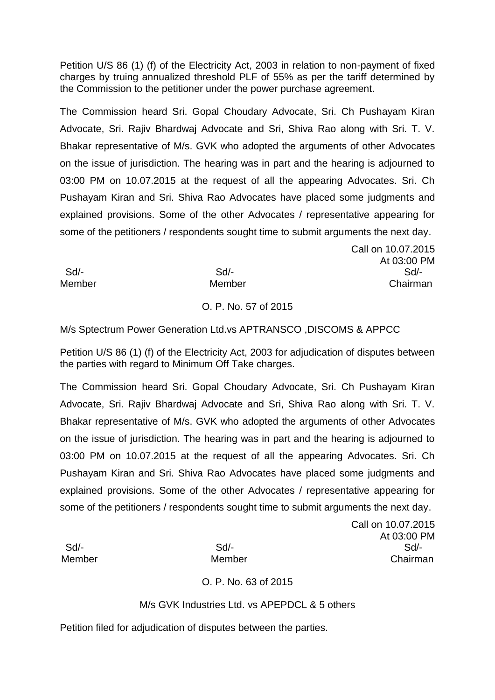Petition U/S 86 (1) (f) of the Electricity Act, 2003 in relation to non-payment of fixed charges by truing annualized threshold PLF of 55% as per the tariff determined by the Commission to the petitioner under the power purchase agreement.

The Commission heard Sri. Gopal Choudary Advocate, Sri. Ch Pushayam Kiran Advocate, Sri. Rajiv Bhardwaj Advocate and Sri, Shiva Rao along with Sri. T. V. Bhakar representative of M/s. GVK who adopted the arguments of other Advocates on the issue of jurisdiction. The hearing was in part and the hearing is adjourned to 03:00 PM on 10.07.2015 at the request of all the appearing Advocates. Sri. Ch Pushayam Kiran and Sri. Shiva Rao Advocates have placed some judgments and explained provisions. Some of the other Advocates / representative appearing for some of the petitioners / respondents sought time to submit arguments the next day.

 Sd/- Sd/- Sd/- Member Member Chairman

## O. P. No. 57 of 2015

M/s Sptectrum Power Generation Ltd.vs APTRANSCO ,DISCOMS & APPCC

Petition U/S 86 (1) (f) of the Electricity Act, 2003 for adjudication of disputes between the parties with regard to Minimum Off Take charges.

The Commission heard Sri. Gopal Choudary Advocate, Sri. Ch Pushayam Kiran Advocate, Sri. Rajiv Bhardwaj Advocate and Sri, Shiva Rao along with Sri. T. V. Bhakar representative of M/s. GVK who adopted the arguments of other Advocates on the issue of jurisdiction. The hearing was in part and the hearing is adjourned to 03:00 PM on 10.07.2015 at the request of all the appearing Advocates. Sri. Ch Pushayam Kiran and Sri. Shiva Rao Advocates have placed some judgments and explained provisions. Some of the other Advocates / representative appearing for some of the petitioners / respondents sought time to submit arguments the next day.

Call on 10.07.2015 At 03:00 PM Sd/- Sd/- Sd/- Member Member Chairman

Call on 10.07.2015

At 03:00 PM

# O. P. No. 63 of 2015

# M/s GVK Industries Ltd. vs APEPDCL & 5 others

Petition filed for adjudication of disputes between the parties.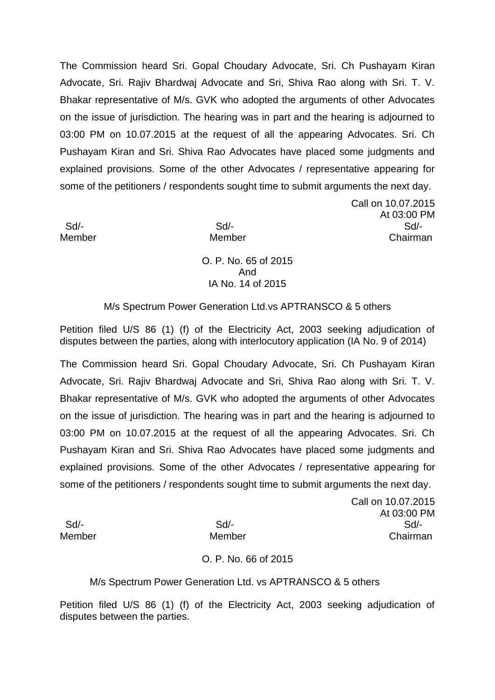The Commission heard Sri. Gopal Choudary Advocate, Sri. Ch Pushayam Kiran Advocate, Sri. Rajiv Bhardwaj Advocate and Sri, Shiva Rao along with Sri. T. V. Bhakar representative of M/s. GVK who adopted the arguments of other Advocates on the issue of jurisdiction. The hearing was in part and the hearing is adjourned to 03:00 PM on 10.07.2015 at the request of all the appearing Advocates. Sri. Ch Pushayam Kiran and Sri. Shiva Rao Advocates have placed some judgments and explained provisions. Some of the other Advocates / representative appearing for some of the petitioners / respondents sought time to submit arguments the next day.

Call on 10.07.2015 At 03:00 PM Sd/- Sd/- Sd/- Member Member Chairman

> O. P. No. 65 of 2015 And IA No. 14 of 2015

M/s Spectrum Power Generation Ltd.vs APTRANSCO & 5 others

Petition filed U/S 86 (1) (f) of the Electricity Act, 2003 seeking adjudication of disputes between the parties, along with interlocutory application (IA No. 9 of 2014)

The Commission heard Sri. Gopal Choudary Advocate, Sri. Ch Pushayam Kiran Advocate, Sri. Rajiv Bhardwaj Advocate and Sri, Shiva Rao along with Sri. T. V. Bhakar representative of M/s. GVK who adopted the arguments of other Advocates on the issue of jurisdiction. The hearing was in part and the hearing is adjourned to 03:00 PM on 10.07.2015 at the request of all the appearing Advocates. Sri. Ch Pushayam Kiran and Sri. Shiva Rao Advocates have placed some judgments and explained provisions. Some of the other Advocates / representative appearing for some of the petitioners / respondents sought time to submit arguments the next day.

Call on 10.07.2015 At 03:00 PM Sd/- Sd/- Sd/- Member Member Chairman

O. P. No. 66 of 2015

M/s Spectrum Power Generation Ltd. vs APTRANSCO & 5 others

Petition filed U/S 86 (1) (f) of the Electricity Act, 2003 seeking adjudication of disputes between the parties.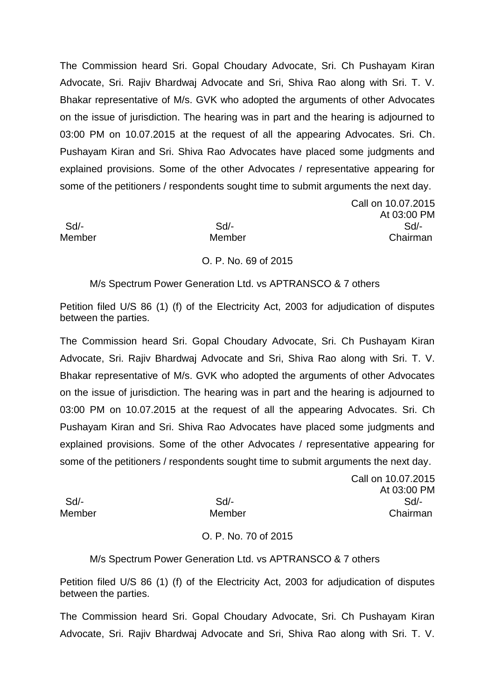The Commission heard Sri. Gopal Choudary Advocate, Sri. Ch Pushayam Kiran Advocate, Sri. Rajiv Bhardwaj Advocate and Sri, Shiva Rao along with Sri. T. V. Bhakar representative of M/s. GVK who adopted the arguments of other Advocates on the issue of jurisdiction. The hearing was in part and the hearing is adjourned to 03:00 PM on 10.07.2015 at the request of all the appearing Advocates. Sri. Ch. Pushayam Kiran and Sri. Shiva Rao Advocates have placed some judgments and explained provisions. Some of the other Advocates / representative appearing for some of the petitioners / respondents sought time to submit arguments the next day.

Call on 10.07.2015 At 03:00 PM Sd/- Sd/- Sd/- Member Member Chairman

## O. P. No. 69 of 2015

M/s Spectrum Power Generation Ltd. vs APTRANSCO & 7 others

Petition filed U/S 86 (1) (f) of the Electricity Act, 2003 for adjudication of disputes between the parties.

The Commission heard Sri. Gopal Choudary Advocate, Sri. Ch Pushayam Kiran Advocate, Sri. Rajiv Bhardwaj Advocate and Sri, Shiva Rao along with Sri. T. V. Bhakar representative of M/s. GVK who adopted the arguments of other Advocates on the issue of jurisdiction. The hearing was in part and the hearing is adjourned to 03:00 PM on 10.07.2015 at the request of all the appearing Advocates. Sri. Ch Pushayam Kiran and Sri. Shiva Rao Advocates have placed some judgments and explained provisions. Some of the other Advocates / representative appearing for some of the petitioners / respondents sought time to submit arguments the next day.

Call on 10.07.2015 At 03:00 PM Sd/- Sd/- Sd/- Member Member Chairman

# O. P. No. 70 of 2015

## M/s Spectrum Power Generation Ltd. vs APTRANSCO & 7 others

Petition filed U/S 86 (1) (f) of the Electricity Act, 2003 for adjudication of disputes between the parties.

The Commission heard Sri. Gopal Choudary Advocate, Sri. Ch Pushayam Kiran Advocate, Sri. Rajiv Bhardwaj Advocate and Sri, Shiva Rao along with Sri. T. V.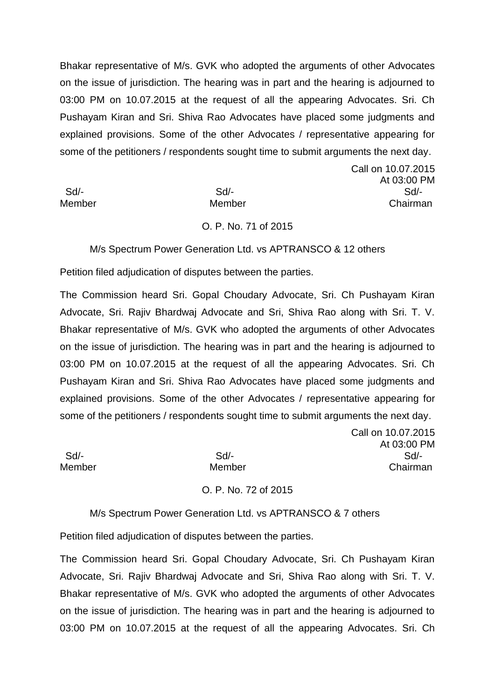Bhakar representative of M/s. GVK who adopted the arguments of other Advocates on the issue of jurisdiction. The hearing was in part and the hearing is adjourned to 03:00 PM on 10.07.2015 at the request of all the appearing Advocates. Sri. Ch Pushayam Kiran and Sri. Shiva Rao Advocates have placed some judgments and explained provisions. Some of the other Advocates / representative appearing for some of the petitioners / respondents sought time to submit arguments the next day.

Call on 10.07.2015 At 03:00 PM Sd/- Sd/- Sd/- Member Member Chairman

## O. P. No. 71 of 2015

M/s Spectrum Power Generation Ltd. vs APTRANSCO & 12 others

Petition filed adjudication of disputes between the parties.

The Commission heard Sri. Gopal Choudary Advocate, Sri. Ch Pushayam Kiran Advocate, Sri. Rajiv Bhardwaj Advocate and Sri, Shiva Rao along with Sri. T. V. Bhakar representative of M/s. GVK who adopted the arguments of other Advocates on the issue of jurisdiction. The hearing was in part and the hearing is adjourned to 03:00 PM on 10.07.2015 at the request of all the appearing Advocates. Sri. Ch Pushayam Kiran and Sri. Shiva Rao Advocates have placed some judgments and explained provisions. Some of the other Advocates / representative appearing for some of the petitioners / respondents sought time to submit arguments the next day.

Call on 10.07.2015 At 03:00 PM Sd/- Sd/- Sd/- Member Member Chairman

O. P. No. 72 of 2015

M/s Spectrum Power Generation Ltd. vs APTRANSCO & 7 others

Petition filed adjudication of disputes between the parties.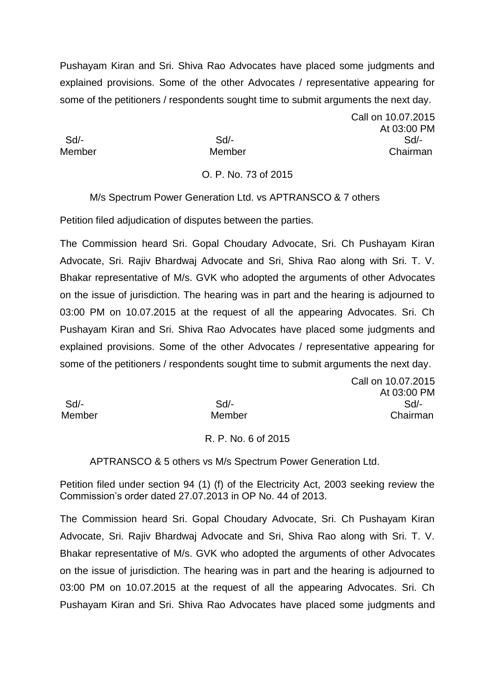Pushayam Kiran and Sri. Shiva Rao Advocates have placed some judgments and explained provisions. Some of the other Advocates / representative appearing for some of the petitioners / respondents sought time to submit arguments the next day.

Call on 10.07.2015 At 03:00 PM Sd/- Sd/- Sd/- Member Member Chairman

Call on 10.07.2015

# O. P. No. 73 of 2015

M/s Spectrum Power Generation Ltd. vs APTRANSCO & 7 others

Petition filed adjudication of disputes between the parties.

The Commission heard Sri. Gopal Choudary Advocate, Sri. Ch Pushayam Kiran Advocate, Sri. Rajiv Bhardwaj Advocate and Sri, Shiva Rao along with Sri. T. V. Bhakar representative of M/s. GVK who adopted the arguments of other Advocates on the issue of jurisdiction. The hearing was in part and the hearing is adjourned to 03:00 PM on 10.07.2015 at the request of all the appearing Advocates. Sri. Ch Pushayam Kiran and Sri. Shiva Rao Advocates have placed some judgments and explained provisions. Some of the other Advocates / representative appearing for some of the petitioners / respondents sought time to submit arguments the next day.

|        |        | At 03:00 PM |
|--------|--------|-------------|
| Sd/-   | Sd     | Sd/-        |
| Member | Member | Chairman    |

## R. P. No. 6 of 2015

APTRANSCO & 5 others vs M/s Spectrum Power Generation Ltd.

Petition filed under section 94 (1) (f) of the Electricity Act, 2003 seeking review the Commission's order dated 27.07.2013 in OP No. 44 of 2013.